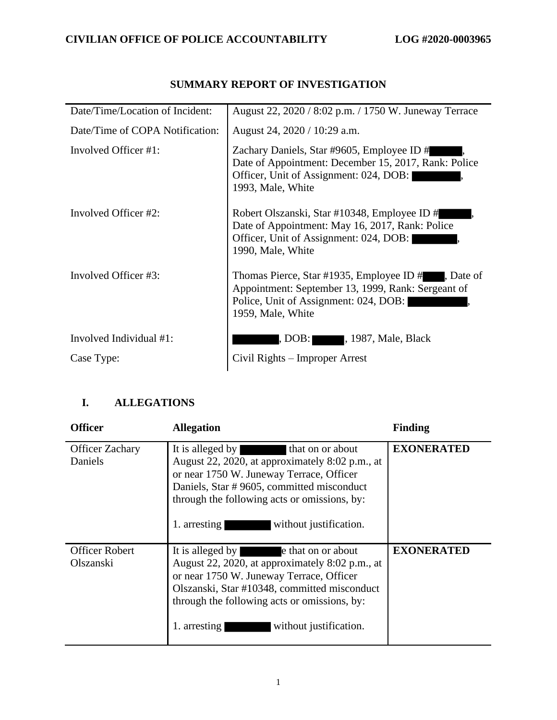| Date/Time/Location of Incident: | August 22, 2020 / 8:02 p.m. / 1750 W. Juneway Terrace                                                                                                                 |
|---------------------------------|-----------------------------------------------------------------------------------------------------------------------------------------------------------------------|
| Date/Time of COPA Notification: | August 24, 2020 / 10:29 a.m.                                                                                                                                          |
| Involved Officer #1:            | Zachary Daniels, Star #9605, Employee ID #<br>Date of Appointment: December 15, 2017, Rank: Police<br>Officer, Unit of Assignment: 024, DOB:<br>1993, Male, White     |
| Involved Officer #2:            | Robert Olszanski, Star #10348, Employee ID #<br>Date of Appointment: May 16, 2017, Rank: Police<br>Officer, Unit of Assignment: 024, DOB:<br>1990, Male, White        |
| Involved Officer #3:            | Thomas Pierce, Star #1935, Employee ID #, Date of<br>Appointment: September 13, 1999, Rank: Sergeant of<br>Police, Unit of Assignment: 024, DOB:<br>1959, Male, White |
| Involved Individual #1:         | , 1987, Male, Black<br>, DOB:                                                                                                                                         |
| Case Type:                      | Civil Rights – Improper Arrest                                                                                                                                        |

## **SUMMARY REPORT OF INVESTIGATION**

## **I. ALLEGATIONS**

| <b>Officer</b>                     | <b>Allegation</b>                                                                                                                                                                                                                                                           | <b>Finding</b>    |
|------------------------------------|-----------------------------------------------------------------------------------------------------------------------------------------------------------------------------------------------------------------------------------------------------------------------------|-------------------|
| <b>Officer Zachary</b><br>Daniels  | It is alleged by that on or about<br>August 22, 2020, at approximately 8:02 p.m., at<br>or near 1750 W. Juneway Terrace, Officer<br>Daniels, Star #9605, committed misconduct<br>through the following acts or omissions, by:<br>without justification.<br>1. arresting     | <b>EXONERATED</b> |
| <b>Officer Robert</b><br>Olszanski | It is alleged by ethat on or about<br>August 22, 2020, at approximately 8:02 p.m., at<br>or near 1750 W. Juneway Terrace, Officer<br>Olszanski, Star #10348, committed misconduct<br>through the following acts or omissions, by:<br>without justification.<br>1. arresting | <b>EXONERATED</b> |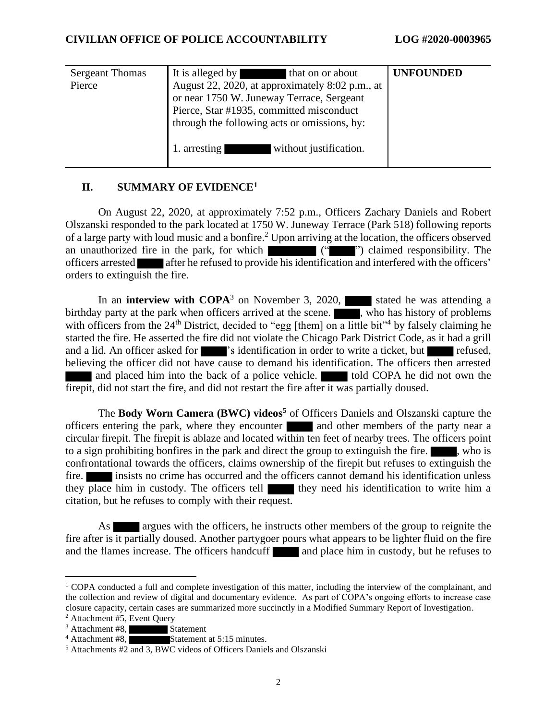| <b>Sergeant Thomas</b><br>Pierce | It is alleged by<br>that on or about<br>August 22, 2020, at approximately 8:02 p.m., at<br>or near 1750 W. Juneway Terrace, Sergeant<br>Pierce, Star #1935, committed misconduct | <b>UNFOUNDED</b> |
|----------------------------------|----------------------------------------------------------------------------------------------------------------------------------------------------------------------------------|------------------|
|                                  | through the following acts or omissions, by:<br>without justification.<br>. arresting                                                                                            |                  |

### **II. SUMMARY OF EVIDENCE<sup>1</sup>**

On August 22, 2020, at approximately 7:52 p.m., Officers Zachary Daniels and Robert Olszanski responded to the park located at 1750 W. Juneway Terrace (Park 518) following reports of a large party with loud music and a bonfire. <sup>2</sup> Upon arriving at the location, the officers observed an unauthorized fire in the park, for which (""") claimed responsibility. The officers arrested after he refused to provide his identification and interfered with the officers' orders to extinguish the fire.

In an **interview with COPA**<sup>3</sup> on November 3, 2020, stated he was attending a birthday party at the park when officers arrived at the scene.  $\blacksquare$ , who has history of problems with officers from the  $24<sup>th</sup>$  District, decided to "egg [them] on a little bit"<sup>4</sup> by falsely claiming he started the fire. He asserted the fire did not violate the Chicago Park District Code, as it had a grill and a lid. An officer asked for 's identification in order to write a ticket, but refused, believing the officer did not have cause to demand his identification. The officers then arrested and placed him into the back of a police vehicle. **The last of a state** told COPA he did not own the firepit, did not start the fire, and did not restart the fire after it was partially doused.

The **Body Worn Camera (BWC) videos <sup>5</sup>** of Officers Daniels and Olszanski capture the officers entering the park, where they encounter and other members of the party near a circular firepit. The firepit is ablaze and located within ten feet of nearby trees. The officers point to a sign prohibiting bonfires in the park and direct the group to extinguish the fire.  $\blacksquare$ , who is confrontational towards the officers, claims ownership of the firepit but refuses to extinguish the fire. insists no crime has occurred and the officers cannot demand his identification unless they place him in custody. The officers tell they need his identification to write him a citation, but he refuses to comply with their request.

As argues with the officers, he instructs other members of the group to reignite the fire after is it partially doused. Another partygoer pours what appears to be lighter fluid on the fire and the flames increase. The officers handcuff and place him in custody, but he refuses to

 $1$  COPA conducted a full and complete investigation of this matter, including the interview of the complainant, and the collection and review of digital and documentary evidence. As part of COPA's ongoing efforts to increase case closure capacity, certain cases are summarized more succinctly in a Modified Summary Report of Investigation.

<sup>2</sup> Attachment #5, Event Query

 $3$  Attachment #8, Statement  $4$  Attachment #8,

Statement at 5:15 minutes.

<sup>5</sup> Attachments #2 and 3, BWC videos of Officers Daniels and Olszanski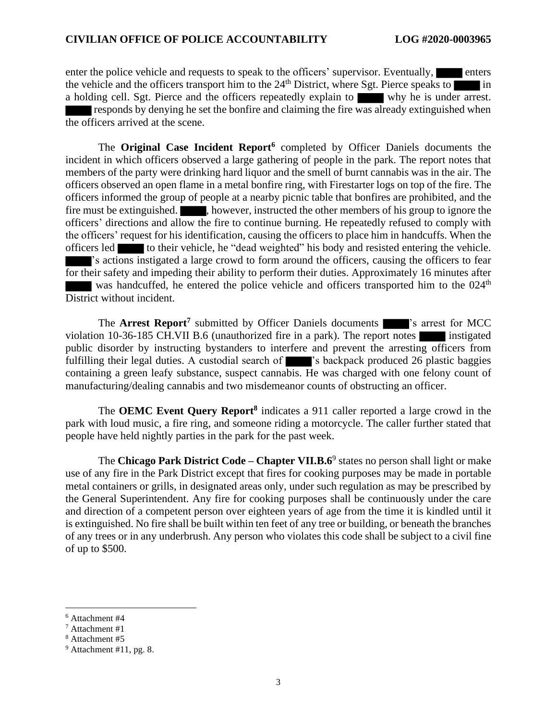enter the police vehicle and requests to speak to the officers' supervisor. Eventually, the vehicle and the officers transport him to the  $24<sup>th</sup>$  District, where Sgt. Pierce speaks to in a holding cell. Sgt. Pierce and the officers repeatedly explain to why he is under arrest. responds by denying he set the bonfire and claiming the fire was already extinguished when the officers arrived at the scene.

The **Original Case Incident Report<sup>6</sup>** completed by Officer Daniels documents the incident in which officers observed a large gathering of people in the park. The report notes that members of the party were drinking hard liquor and the smell of burnt cannabis was in the air. The officers observed an open flame in a metal bonfire ring, with Firestarter logs on top of the fire. The officers informed the group of people at a nearby picnic table that bonfires are prohibited, and the fire must be extinguished.  $\blacksquare$ , however, instructed the other members of his group to ignore the officers' directions and allow the fire to continue burning. He repeatedly refused to comply with the officers' request for his identification, causing the officers to place him in handcuffs. When the officers led to their vehicle, he "dead weighted" his body and resisted entering the vehicle. 's actions instigated a large crowd to form around the officers, causing the officers to fear for their safety and impeding their ability to perform their duties. Approximately 16 minutes after was handcuffed, he entered the police vehicle and officers transported him to the 024<sup>th</sup> District without incident.

The **Arrest Report<sup>7</sup>** submitted by Officer Daniels documents 's arrest for MCC violation 10-36-185 CH.VII B.6 (unauthorized fire in a park). The report notes instigated public disorder by instructing bystanders to interfere and prevent the arresting officers from fulfilling their legal duties. A custodial search of 's backpack produced 26 plastic baggies containing a green leafy substance, suspect cannabis. He was charged with one felony count of manufacturing/dealing cannabis and two misdemeanor counts of obstructing an officer.

The **OEMC Event Query Report<sup>8</sup>** indicates a 911 caller reported a large crowd in the park with loud music, a fire ring, and someone riding a motorcycle. The caller further stated that people have held nightly parties in the park for the past week.

The **Chicago Park District Code – Chapter VII.B.6**<sup>9</sup> states no person shall light or make use of any fire in the Park District except that fires for cooking purposes may be made in portable metal containers or grills, in designated areas only, under such regulation as may be prescribed by the General Superintendent. Any fire for cooking purposes shall be continuously under the care and direction of a competent person over eighteen years of age from the time it is kindled until it is extinguished. No fire shall be built within ten feet of any tree or building, or beneath the branches of any trees or in any underbrush. Any person who violates this code shall be subject to a civil fine of up to \$500.

<sup>8</sup> Attachment #5

<sup>6</sup> Attachment #4

<sup>7</sup> Attachment #1

 $9$  Attachment #11, pg. 8.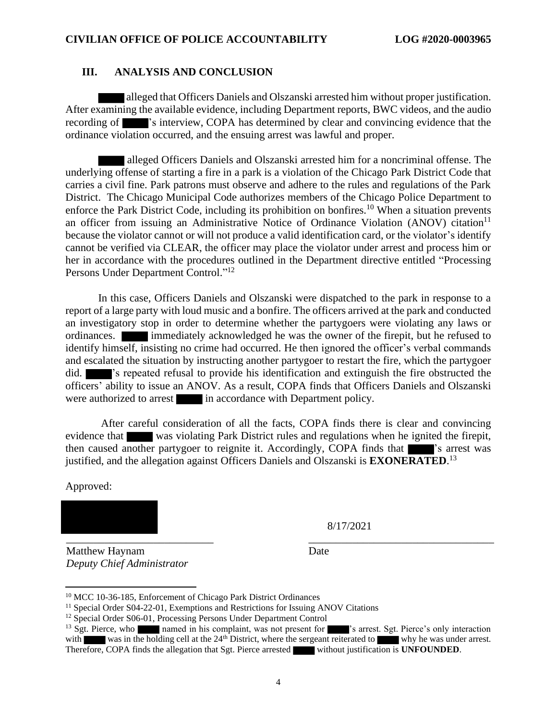#### **III. ANALYSIS AND CONCLUSION**

alleged that Officers Daniels and Olszanski arrested him without proper justification. After examining the available evidence, including Department reports, BWC videos, and the audio recording of 's interview, COPA has determined by clear and convincing evidence that the ordinance violation occurred, and the ensuing arrest was lawful and proper.

 alleged Officers Daniels and Olszanski arrested him for a noncriminal offense. The underlying offense of starting a fire in a park is a violation of the Chicago Park District Code that carries a civil fine. Park patrons must observe and adhere to the rules and regulations of the Park District. The Chicago Municipal Code authorizes members of the Chicago Police Department to enforce the Park District Code, including its prohibition on bonfires.<sup>10</sup> When a situation prevents an officer from issuing an Administrative Notice of Ordinance Violation (ANOV) citation<sup>11</sup> because the violator cannot or will not produce a valid identification card, or the violator's identify cannot be verified via CLEAR, the officer may place the violator under arrest and process him or her in accordance with the procedures outlined in the Department directive entitled "Processing Persons Under Department Control."<sup>12</sup>

In this case, Officers Daniels and Olszanski were dispatched to the park in response to a report of a large party with loud music and a bonfire. The officers arrived at the park and conducted an investigatory stop in order to determine whether the partygoers were violating any laws or ordinances. **immediately acknowledged he was the owner of the firepit, but he refused to** identify himself, insisting no crime had occurred. He then ignored the officer's verbal commands and escalated the situation by instructing another partygoer to restart the fire, which the partygoer did.  $\blacksquare$  's repeated refusal to provide his identification and extinguish the fire obstructed the officers' ability to issue an ANOV. As a result, COPA finds that Officers Daniels and Olszanski were authorized to arrest in accordance with Department policy.

After careful consideration of all the facts, COPA finds there is clear and convincing evidence that was violating Park District rules and regulations when he ignited the firepit, then caused another partygoer to reignite it. Accordingly, COPA finds that 's arrest was justified, and the allegation against Officers Daniels and Olszanski is **EXONERATED**. 13

Approved:

\_\_\_\_\_\_\_\_\_\_\_\_\_\_\_\_\_\_\_\_\_\_\_\_\_\_\_ \_\_\_\_\_\_\_\_\_\_\_\_\_\_\_\_\_\_\_\_\_\_\_\_\_\_\_\_\_\_\_\_\_\_ Matthew Haynam

*Deputy Chief Administrator*

8/17/2021

Date

<sup>10</sup> MCC 10-36-185, Enforcement of Chicago Park District Ordinances

<sup>&</sup>lt;sup>11</sup> Special Order S04-22-01, Exemptions and Restrictions for Issuing ANOV Citations

<sup>&</sup>lt;sup>12</sup> Special Order S06-01, Processing Persons Under Department Control

<sup>&</sup>lt;sup>13</sup> Sgt. Pierce, who named in his complaint, was not present for  $\blacksquare$ 's arrest. Sgt. Pierce's only interaction with was in the holding cell at the 24<sup>th</sup> District, where the sergeant reiterated to whow he was under arr was in the holding cell at the 24<sup>th</sup> District, where the sergeant reiterated to why he was under arrest. Therefore, COPA finds the allegation that Sgt. Pierce arrested without justification is **UNFOUNDED**.